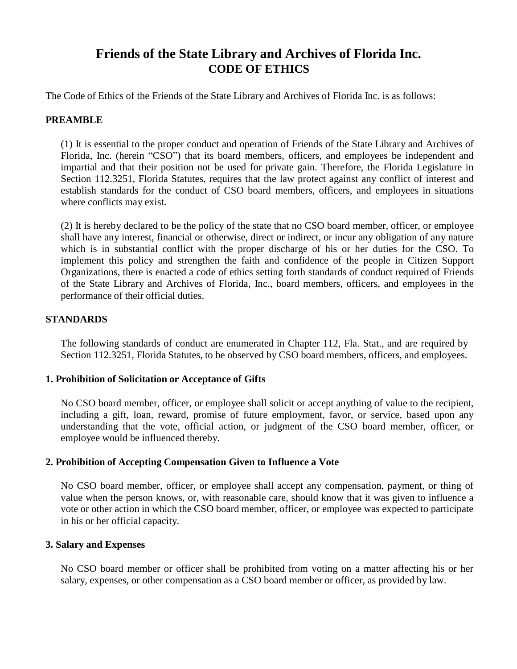# **Friends of the State Library and Archives of Florida Inc. CODE OF ETHICS**

The Code of Ethics of the Friends of the State Library and Archives of Florida Inc. is as follows:

## **PREAMBLE**

(1) It is essential to the proper conduct and operation of Friends of the State Library and Archives of Florida, Inc. (herein "CSO") that its board members, officers, and employees be independent and impartial and that their position not be used for private gain. Therefore, the Florida Legislature in Section 112.3251, Florida Statutes, requires that the law protect against any conflict of interest and establish standards for the conduct of CSO board members, officers, and employees in situations where conflicts may exist.

(2) It is hereby declared to be the policy of the state that no CSO board member, officer, or employee shall have any interest, financial or otherwise, direct or indirect, or incur any obligation of any nature which is in substantial conflict with the proper discharge of his or her duties for the CSO. To implement this policy and strengthen the faith and confidence of the people in Citizen Support Organizations, there is enacted a code of ethics setting forth standards of conduct required of Friends of the State Library and Archives of Florida, Inc., board members, officers, and employees in the performance of their official duties.

## **STANDARDS**

The following standards of conduct are enumerated in Chapter 112, Fla. Stat., and are required by Section 112.3251, Florida Statutes, to be observed by CSO board members, officers, and employees.

## **1. Prohibition of Solicitation or Acceptance of Gifts**

No CSO board member, officer, or employee shall solicit or accept anything of value to the recipient, including a gift, loan, reward, promise of future employment, favor, or service, based upon any understanding that the vote, official action, or judgment of the CSO board member, officer, or employee would be influenced thereby.

## **2. Prohibition of Accepting Compensation Given to Influence a Vote**

No CSO board member, officer, or employee shall accept any compensation, payment, or thing of value when the person knows, or, with reasonable care, should know that it was given to influence a vote or other action in which the CSO board member, officer, or employee was expected to participate in his or her official capacity.

## **3. Salary and Expenses**

No CSO board member or officer shall be prohibited from voting on a matter affecting his or her salary, expenses, or other compensation as a CSO board member or officer, as provided by law.